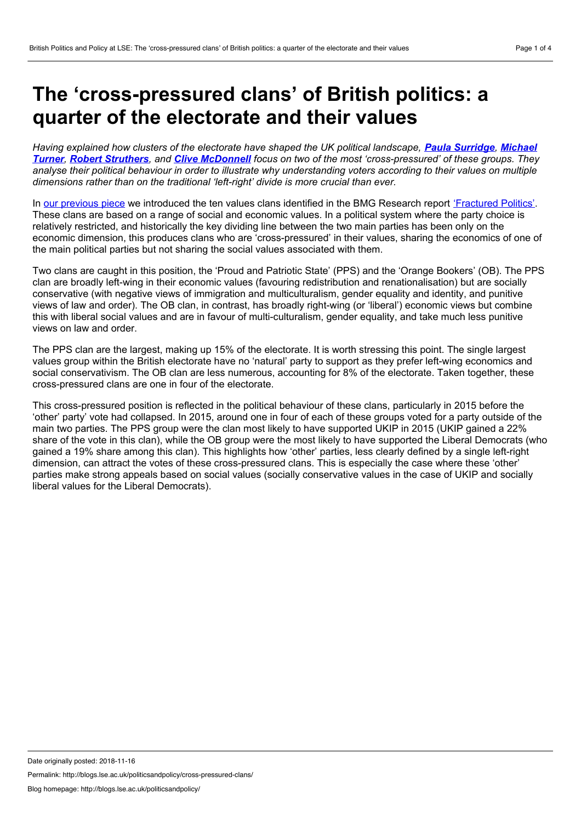## <span id="page-0-0"></span>**The 'cross-pressured clans' of British politics: a quarter of the electorate and their values**

Having explained how clusters of the electorate have shaped the UK political landscape. Paula [Surridge](#page-0-0), Michael Turner, Robert [Struthers](#page-0-0), and Clive [McDonnell](#page-0-0) focus on two of the most ['cross-pressured'](#page-0-0) of these groups. They analyse their political behaviour in order to illustrate why understanding voters according to their values on multiple *dimensions rather than on the traditional 'left-right' divide is more crucial than ever.*

In our [previous](http://blogs.lse.ac.uk/politicsandpolicy/values-clans/) piece we introduced the ten values clans identified in the BMG Research report ['Fractured](https://uob-my.sharepoint.com/personal/soxps_bristol_ac_uk/Documents/CONFIDENTIAL_CLASS_IS_DEAD_VICS_OF_GB_2018_D26.docx?web=1) Politics'. These clans are based on a range of social and economic values. In a political system where the party choice is relatively restricted, and historically the key dividing line between the two main parties has been only on the economic dimension, this produces clans who are 'cross-pressured' in their values, sharing the economics of one of the main political parties but not sharing the social values associated with them.

Two clans are caught in this position, the 'Proud and Patriotic State' (PPS) and the 'Orange Bookers' (OB). The PPS clan are broadly left-wing in their economic values (favouring redistribution and renationalisation) but are socially conservative (with negative views of immigration and multiculturalism, gender equality and identity, and punitive views of law and order). The OB clan, in contrast, has broadly right-wing (or 'liberal') economic views but combine this with liberal social values and are in favour of multi-culturalism, gender equality, and take much less punitive views on law and order.

The PPS clan are the largest, making up 15% of the electorate. It is worth stressing this point. The single largest values group within the British electorate have no 'natural' party to support as they prefer left-wing economics and social conservativism. The OB clan are less numerous, accounting for 8% of the electorate. Taken together, these cross-pressured clans are one in four of the electorate.

This cross-pressured position is reflected in the political behaviour of these clans, particularly in 2015 before the 'other' party' vote had collapsed. In 2015, around one in four of each of these groups voted for a party outside of the main two parties. The PPS group were the clan most likely to have supported UKIP in 2015 (UKIP gained a 22% share of the vote in this clan), while the OB group were the most likely to have supported the Liberal Democrats (who gained a 19% share among this clan). This highlights how 'other' parties, less clearly defined by a single left-right dimension, can attract the votes of these cross-pressured clans. This is especially the case where these 'other' parties make strong appeals based on social values (socially conservative values in the case of UKIP and socially liberal values for the Liberal Democrats).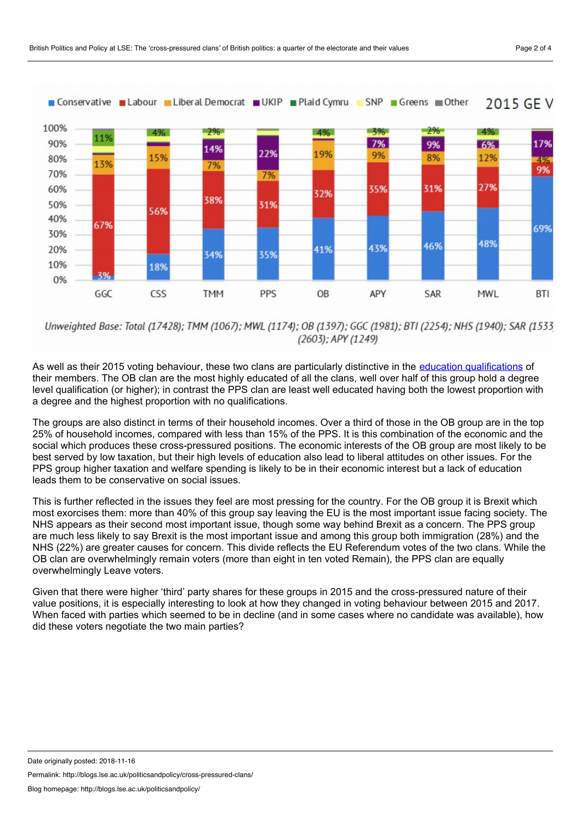

Unweighted Base: Total (17428); TMM (1067); MWL (1174); OB (1397); GGC (1981); BTI (2254); NHS (1940); SAR (1533  $(2603)$ ; APY  $(1249)$ 

As well as their 2015 voting behaviour, these two clans are particularly distinctive in the education [qualifications](http://blogs.lse.ac.uk/politicsandpolicy/the-education-effect/) of their members. The OB clan are the most highly educated of all the clans, well over half of this group hold a degree level qualification (or higher); in contrast the PPS clan are least well educated having both the lowest proportion with a degree and the highest proportion with no qualifications.

The groups are also distinct in terms of their household incomes. Over a third of those in the OB group are in the top 25% of household incomes, compared with less than 15% of the PPS. It is this combination of the economic and the social which produces these cross-pressured positions. The economic interests of the OB group are most likely to be best served by low taxation, but their high levels of education also lead to liberal attitudes on other issues. For the PPS group higher taxation and welfare spending is likely to be in their economic interest but a lack of education leads them to be conservative on social issues.

This is further reflected in the issues they feel are most pressing for the country. For the OB group it is Brexit which most exorcises them: more than 40% of this group say leaving the EU is the most important issue facing society. The NHS appears as their second most important issue, though some way behind Brexit as a concern. The PPS group are much less likely to say Brexit is the most important issue and among this group both immigration (28%) and the NHS (22%) are greater causes for concern. This divide reflects the EU Referendum votes of the two clans. While the OB clan are overwhelmingly remain voters (more than eight in ten voted Remain), the PPS clan are equally overwhelmingly Leave voters.

Given that there were higher 'third' party shares for these groups in 2015 and the cross-pressured nature of their value positions, it is especially interesting to look at how they changed in voting behaviour between 2015 and 2017. When faced with parties which seemed to be in decline (and in some cases where no candidate was available), how did these voters negotiate the two main parties?

Permalink: http://blogs.lse.ac.uk/politicsandpolicy/cross-pressured-clans/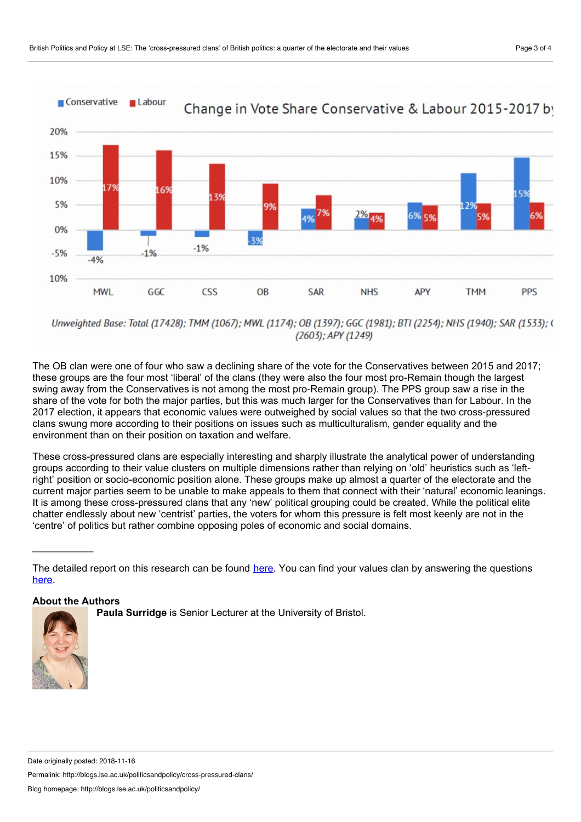

Unweighted Base: Total (17428); TMM (1067); MWL (1174); OB (1397); GGC (1981); BTI (2254); NHS (1940); SAR (1533); ( (2603); APY (1249)

The OB clan were one of four who saw a declining share of the vote for the Conservatives between 2015 and 2017; these groups are the four most 'liberal' of the clans (they were also the four most pro-Remain though the largest swing away from the Conservatives is not among the most pro-Remain group). The PPS group saw a rise in the share of the vote for both the major parties, but this was much larger for the Conservatives than for Labour. In the 2017 election, it appears that economic values were outweighed by social values so that the two cross-pressured clans swung more according to their positions on issues such as multiculturalism, gender equality and the environment than on their position on taxation and welfare.

These cross-pressured clans are especially interesting and sharply illustrate the analytical power of understanding groups according to their value clusters on multiple dimensions rather than relying on 'old' heuristics such as 'leftright' position or socio-economic position alone. These groups make up almost a quarter of the electorate and the current major parties seem to be unable to make appeals to them that connect with their 'natural' economic leanings. It is among these cross-pressured clans that any 'new' political grouping could be created. While the political elite chatter endlessly about new 'centrist' parties, the voters for whom this pressure is felt most keenly are not in the 'centre' of politics but rather combine opposing poles of economic and social domains.

## **About the Authors**

 $\frac{1}{2}$  ,  $\frac{1}{2}$  ,  $\frac{1}{2}$  ,  $\frac{1}{2}$  ,  $\frac{1}{2}$  ,  $\frac{1}{2}$  ,  $\frac{1}{2}$  ,  $\frac{1}{2}$  ,  $\frac{1}{2}$  ,  $\frac{1}{2}$ 

**Paula Surridge** is Senior Lecturer at the University of Bristol.



Permalink: http://blogs.lse.ac.uk/politicsandpolicy/cross-pressured-clans/

Blog homepage: http://blogs.lse.ac.uk/politicsandpolicy/

The detailed report on this research can be found [here.](https://www.bmgresearch.co.uk/wp-content/uploads/2018/10/CONFIDENTIAL_FRACTURED_POLITICS_TURNER_M_ET_AL_2018_V4.pdf) You can find your values clan by answering the questions [here.](https://bmgvaluesclans.bmgresearch.co.uk/wix/2/p1869293692.aspx)